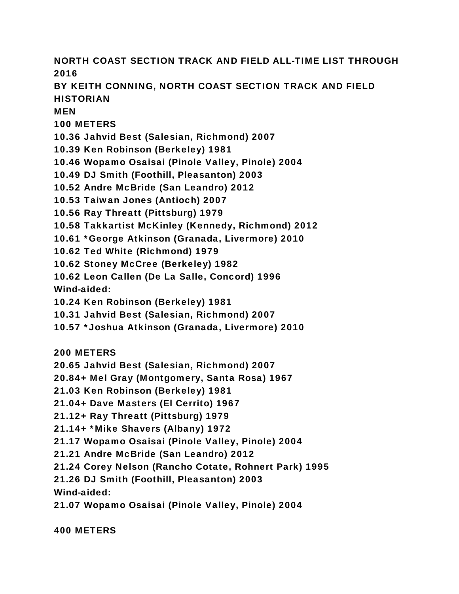NORTH COAST SECTION TRACK AND FIELD ALL-TIME LIST THROUGH 2016 BY KEITH CONNING, NORTH COAST SECTION TRACK AND FIELD **HISTORIAN MFN** 100 METERS 10.36 Jahvid Best (Salesian, Richmond) 2007 10.39 Ken Robinson (Berkeley) 1981

10.46 Wopamo Osaisai (Pinole Valley, Pinole) 2004

10.49 DJ Smith (Foothill, Pleasanton) 2003

10.52 Andre McBride (San Leandro) 2012

10.53 Taiwan Jones (Antioch) 2007

10.56 Ray Threatt (Pittsburg) 1979

10.58 Takkartist McKinley (Kennedy, Richmond) 2012

10.61 \*George Atkinson (Granada, Livermore) 2010

10.62 Ted White (Richmond) 1979

10.62 Stoney McCree (Berkeley) 1982

10.62 Leon Callen (De La Salle, Concord) 1996

Wind-aided:

10.24 Ken Robinson (Berkeley) 1981

10.31 Jahvid Best (Salesian, Richmond) 2007

10.57 \*Joshua Atkinson (Granada, Livermore) 2010

200 METERS

20.65 Jahvid Best (Salesian, Richmond) 2007

20.84+ Mel Gray (Montgomery, Santa Rosa) 1967

21.03 Ken Robinson (Berkeley) 1981

21.04+ Dave Masters (El Cerrito) 1967

21.12+ Ray Threatt (Pittsburg) 1979

21.14+ \*Mike Shavers (Albany) 1972

21.17 Wopamo Osaisai (Pinole Valley, Pinole) 2004

21.21 Andre McBride (San Leandro) 2012

21.24 Corey Nelson (Rancho Cotate, Rohnert Park) 1995

21.26 DJ Smith (Foothill, Pleasanton) 2003

Wind-aided:

21.07 Wopamo Osaisai (Pinole Valley, Pinole) 2004

400 METERS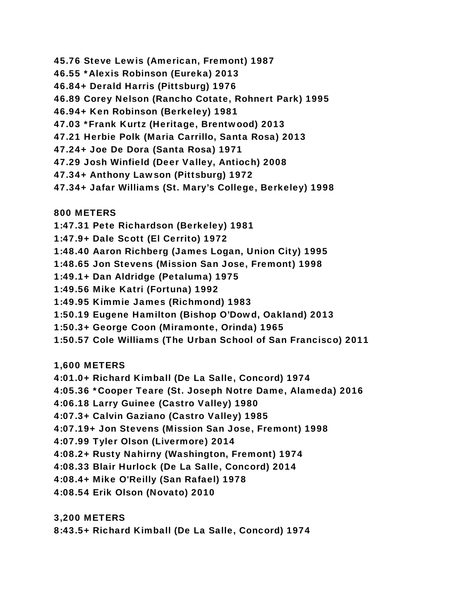- 45.76 Steve Lewis (American, Fremont) 1987
- 46.55 \*Alexis Robinson (Eureka) 2013
- 46.84+ Derald Harris (Pittsburg) 1976
- 46.89 Corey Nelson (Rancho Cotate, Rohnert Park) 1995
- 46.94+ Ken Robinson (Berkeley) 1981
- 47.03 \*Frank Kurtz (Heritage, Brentwood) 2013
- 47.21 Herbie Polk (Maria Carrillo, Santa Rosa) 2013
- 47.24+ Joe De Dora (Santa Rosa) 1971
- 47.29 Josh Winfield (Deer Valley, Antioch) 2008
- 47.34+ Anthony Lawson (Pittsburg) 1972
- 47.34+ Jafar Williams (St. Mary's College, Berkeley) 1998

800 METERS

- 1:47.31 Pete Richardson (Berkeley) 1981
- 1:47.9+ Dale Scott (El Cerrito) 1972
- 1:48.40 Aaron Richberg (James Logan, Union City) 1995
- 1:48.65 Jon Stevens (Mission San Jose, Fremont) 1998
- 1:49.1+ Dan Aldridge (Petaluma) 1975
- 1:49.56 Mike Katri (Fortuna) 1992
- 1:49.95 Kimmie James (Richmond) 1983
- 1:50.19 Eugene Hamilton (Bishop O'Dowd, Oakland) 2013
- 1:50.3+ George Coon (Miramonte, Orinda) 1965
- 1:50.57 Cole Williams (The Urban School of San Francisco) 2011

1,600 METERS

- 4:01.0+ Richard Kimball (De La Salle, Concord) 1974
- 4:05.36 \*Cooper Teare (St. Joseph Notre Dame, Alameda) 2016
- 4:06.18 Larry Guinee (Castro Valley) 1980
- 4:07.3+ Calvin Gaziano (Castro Valley) 1985
- 4:07.19+ Jon Stevens (Mission San Jose, Fremont) 1998
- 4:07.99 Tyler Olson (Livermore) 2014
- 4:08.2+ Rusty Nahirny (Washington, Fremont) 1974
- 4:08.33 Blair Hurlock (De La Salle, Concord) 2014
- 4:08.4+ Mike O'Reilly (San Rafael) 1978
- 4:08.54 Erik Olson (Novato) 2010

3,200 METERS

8:43.5+ Richard Kimball (De La Salle, Concord) 1974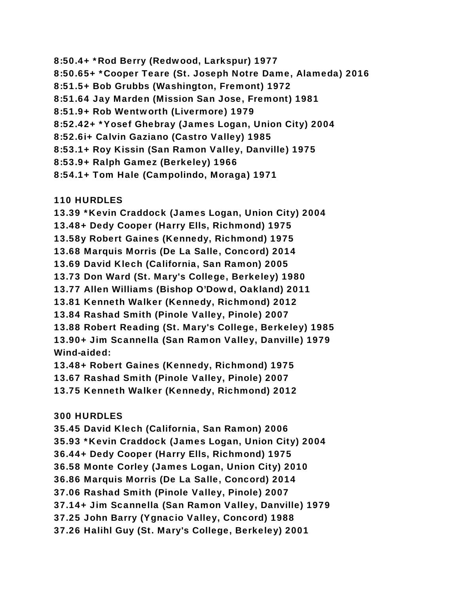8:50.4+ \*Rod Berry (Redwood, Larkspur) 1977 8:50.65+ \*Cooper Teare (St. Joseph Notre Dame, Alameda) 2016 8:51.5+ Bob Grubbs (Washington, Fremont) 1972 8:51.64 Jay Marden (Mission San Jose, Fremont) 1981 8:51.9+ Rob Wentworth (Livermore) 1979 8:52.42+ \*Yosef Ghebray (James Logan, Union City) 2004 8:52.6i+ Calvin Gaziano (Castro Valley) 1985 8:53.1+ Roy Kissin (San Ramon Valley, Danville) 1975 8:53.9+ Ralph Gamez (Berkeley) 1966 8:54.1+ Tom Hale (Campolindo, Moraga) 1971

110 HURDLES

13.39 \*Kevin Craddock (James Logan, Union City) 2004 13.48+ Dedy Cooper (Harry Ells, Richmond) 1975 13.58y Robert Gaines (Kennedy, Richmond) 1975 13.68 Marquis Morris (De La Salle, Concord) 2014 13.69 David Klech (California, San Ramon) 2005 13.73 Don Ward (St. Mary's College, Berkeley) 1980 13.77 Allen Williams (Bishop O'Dowd, Oakland) 2011 13.81 Kenneth Walker (Kennedy, Richmond) 2012 13.84 Rashad Smith (Pinole Valley, Pinole) 2007 13.88 Robert Reading (St. Mary's College, Berkeley) 1985 13.90+ Jim Scannella (San Ramon Valley, Danville) 1979 Wind-aided: 13.48+ Robert Gaines (Kennedy, Richmond) 1975

13.67 Rashad Smith (Pinole Valley, Pinole) 2007

13.75 Kenneth Walker (Kennedy, Richmond) 2012

## 300 HURDLES

35.45 David Klech (California, San Ramon) 2006 35.93 \*Kevin Craddock (James Logan, Union City) 2004 36.44+ Dedy Cooper (Harry Ells, Richmond) 1975 36.58 Monte Corley (James Logan, Union City) 2010 36.86 Marquis Morris (De La Salle, Concord) 2014 37.06 Rashad Smith (Pinole Valley, Pinole) 2007 37.14+ Jim Scannella (San Ramon Valley, Danville) 1979 37.25 John Barry (Ygnacio Valley, Concord) 1988 37.26 Halihl Guy (St. Mary's College, Berkeley) 2001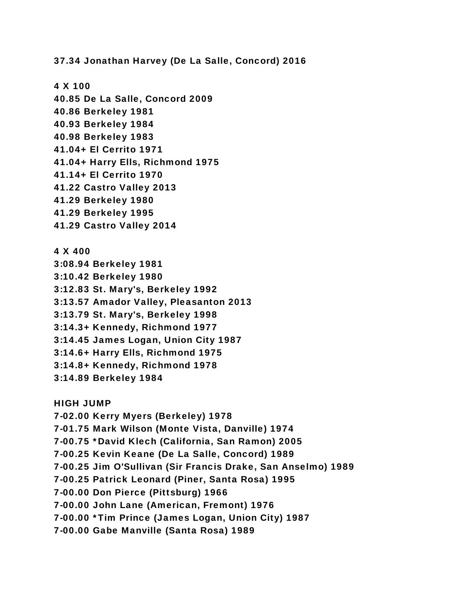37.34 Jonathan Harvey (De La Salle, Concord) 2016

4 X 100 40.85 De La Salle, Concord 2009 40.86 Berkeley 1981 40.93 Berkeley 1984 40.98 Berkeley 1983 41.04+ El Cerrito 1971 41.04+ Harry Ells, Richmond 1975 41.14+ El Cerrito 1970 41.22 Castro Valley 2013 41.29 Berkeley 1980 41.29 Berkeley 1995 41.29 Castro Valley 2014

4 X 400 3:08.94 Berkeley 1981 3:10.42 Berkeley 1980 3:12.83 St. Mary's, Berkeley 1992 3:13.57 Amador Valley, Pleasanton 2013 3:13.79 St. Mary's, Berkeley 1998 3:14.3+ Kennedy, Richmond 1977 3:14.45 James Logan, Union City 1987 3:14.6+ Harry Ells, Richmond 1975 3:14.8+ Kennedy, Richmond 1978 3:14.89 Berkeley 1984

HIGH JUMP 7-02.00 Kerry Myers (Berkeley) 1978 7-01.75 Mark Wilson (Monte Vista, Danville) 1974 7-00.75 \*David Klech (California, San Ramon) 2005 7-00.25 Kevin Keane (De La Salle, Concord) 1989 7-00.25 Jim O'Sullivan (Sir Francis Drake, San Anselmo) 1989 7-00.25 Patrick Leonard (Piner, Santa Rosa) 1995 7-00.00 Don Pierce (Pittsburg) 1966 7-00.00 John Lane (American, Fremont) 1976 7-00.00 \*Tim Prince (James Logan, Union City) 1987 7-00.00 Gabe Manville (Santa Rosa) 1989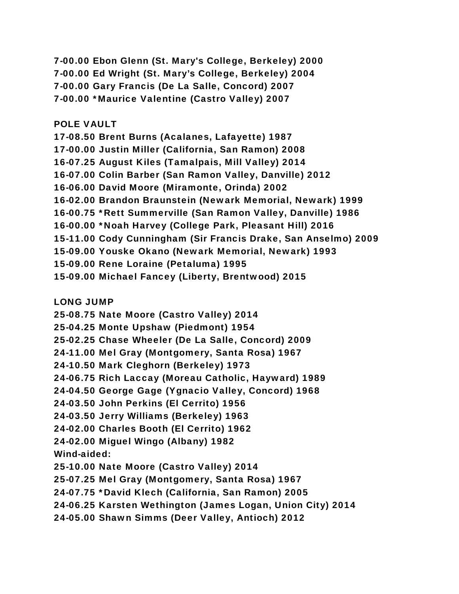7-00.00 Ebon Glenn (St. Mary's College, Berkeley) 2000 7-00.00 Ed Wright (St. Mary's College, Berkeley) 2004 7-00.00 Gary Francis (De La Salle, Concord) 2007 7-00.00 \*Maurice Valentine (Castro Valley) 2007

## POLE VAULT

17-08.50 Brent Burns (Acalanes, Lafayette) 1987 17-00.00 Justin Miller (California, San Ramon) 2008 16-07.25 August Kiles (Tamalpais, Mill Valley) 2014 16-07.00 Colin Barber (San Ramon Valley, Danville) 2012 16-06.00 David Moore (Miramonte, Orinda) 2002 16-02.00 Brandon Braunstein (Newark Memorial, Newark) 1999 16-00.75 \*Rett Summerville (San Ramon Valley, Danville) 1986 16-00.00 \*Noah Harvey (College Park, Pleasant Hill) 2016 15-11.00 Cody Cunningham (Sir Francis Drake, San Anselmo) 2009 15-09.00 Youske Okano (Newark Memorial, Newark) 1993 15-09.00 Rene Loraine (Petaluma) 1995 15-09.00 Michael Fancey (Liberty, Brentwood) 2015

LONG JUMP

25-08.75 Nate Moore (Castro Valley) 2014

25-04.25 Monte Upshaw (Piedmont) 1954

25-02.25 Chase Wheeler (De La Salle, Concord) 2009

24-11.00 Mel Gray (Montgomery, Santa Rosa) 1967

24-10.50 Mark Cleghorn (Berkeley) 1973

24-06.75 Rich Laccay (Moreau Catholic, Hayward) 1989

24-04.50 George Gage (Ygnacio Valley, Concord) 1968

24-03.50 John Perkins (El Cerrito) 1956

24-03.50 Jerry Williams (Berkeley) 1963

24-02.00 Charles Booth (El Cerrito) 1962

24-02.00 Miguel Wingo (Albany) 1982

Wind-aided:

25-10.00 Nate Moore (Castro Valley) 2014

25-07.25 Mel Gray (Montgomery, Santa Rosa) 1967

24-07.75 \*David Klech (California, San Ramon) 2005

24-06.25 Karsten Wethington (James Logan, Union City) 2014

24-05.00 Shawn Simms (Deer Valley, Antioch) 2012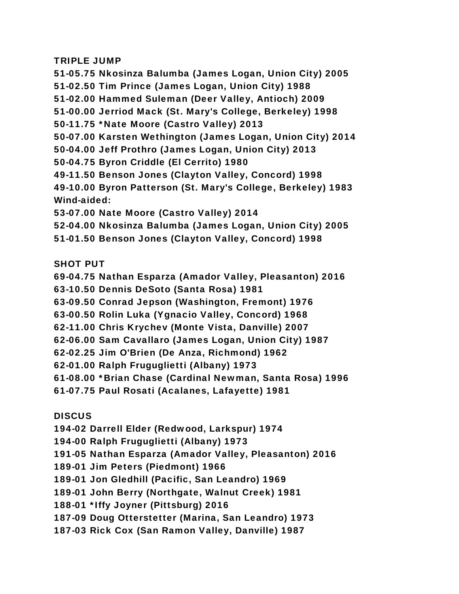## TRIPLE JUMP

51-05.75 Nkosinza Balumba (James Logan, Union City) 2005 51-02.50 Tim Prince (James Logan, Union City) 1988 51-02.00 Hammed Suleman (Deer Valley, Antioch) 2009 51-00.00 Jerriod Mack (St. Mary's College, Berkeley) 1998 50-11.75 \*Nate Moore (Castro Valley) 2013 50-07.00 Karsten Wethington (James Logan, Union City) 2014 50-04.00 Jeff Prothro (James Logan, Union City) 2013 50-04.75 Byron Criddle (El Cerrito) 1980 49-11.50 Benson Jones (Clayton Valley, Concord) 1998 49-10.00 Byron Patterson (St. Mary's College, Berkeley) 1983 Wind-aided: 53-07.00 Nate Moore (Castro Valley) 2014 52-04.00 Nkosinza Balumba (James Logan, Union City) 2005 51-01.50 Benson Jones (Clayton Valley, Concord) 1998

SHOT PUT

69-04.75 Nathan Esparza (Amador Valley, Pleasanton) 2016

63-10.50 Dennis DeSoto (Santa Rosa) 1981

63-09.50 Conrad Jepson (Washington, Fremont) 1976

63-00.50 Rolin Luka (Ygnacio Valley, Concord) 1968

62-11.00 Chris Krychev (Monte Vista, Danville) 2007

62-06.00 Sam Cavallaro (James Logan, Union City) 1987

62-02.25 Jim O'Brien (De Anza, Richmond) 1962

62-01.00 Ralph Fruguglietti (Albany) 1973

61-08.00 \*Brian Chase (Cardinal Newman, Santa Rosa) 1996

61-07.75 Paul Rosati (Acalanes, Lafayette) 1981

**DISCUS** 

194-02 Darrell Elder (Redwood, Larkspur) 1974

194-00 Ralph Fruguglietti (Albany) 1973

191-05 Nathan Esparza (Amador Valley, Pleasanton) 2016

189-01 Jim Peters (Piedmont) 1966

189-01 Jon Gledhill (Pacific, San Leandro) 1969

189-01 John Berry (Northgate, Walnut Creek) 1981

188-01 \*Iffy Joyner (Pittsburg) 2016

187-09 Doug Otterstetter (Marina, San Leandro) 1973

187-03 Rick Cox (San Ramon Valley, Danville) 1987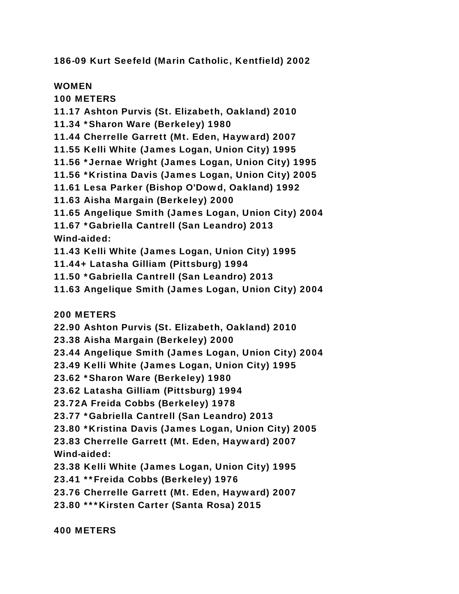186-09 Kurt Seefeld (Marin Catholic, Kentfield) 2002

WOMEN

100 METERS

11.17 Ashton Purvis (St. Elizabeth, Oakland) 2010

11.34 \*Sharon Ware (Berkeley) 1980

11.44 Cherrelle Garrett (Mt. Eden, Hayward) 2007

11.55 Kelli White (James Logan, Union City) 1995

11.56 \*Jernae Wright (James Logan, Union City) 1995

11.56 \*Kristina Davis (James Logan, Union City) 2005

11.61 Lesa Parker (Bishop O'Dowd, Oakland) 1992

11.63 Aisha Margain (Berkeley) 2000

11.65 Angelique Smith (James Logan, Union City) 2004

11.67 \*Gabriella Cantrell (San Leandro) 2013 Wind-aided:

11.43 Kelli White (James Logan, Union City) 1995

11.44+ Latasha Gilliam (Pittsburg) 1994

11.50 \*Gabriella Cantrell (San Leandro) 2013

11.63 Angelique Smith (James Logan, Union City) 2004

200 METERS

22.90 Ashton Purvis (St. Elizabeth, Oakland) 2010

23.38 Aisha Margain (Berkeley) 2000

23.44 Angelique Smith (James Logan, Union City) 2004

23.49 Kelli White (James Logan, Union City) 1995

23.62 \*Sharon Ware (Berkeley) 1980

23.62 Latasha Gilliam (Pittsburg) 1994

23.72A Freida Cobbs (Berkeley) 1978

23.77 \*Gabriella Cantrell (San Leandro) 2013

23.80 \*Kristina Davis (James Logan, Union City) 2005

23.83 Cherrelle Garrett (Mt. Eden, Hayward) 2007 Wind-aided:

23.38 Kelli White (James Logan, Union City) 1995

23.41 \*\*Freida Cobbs (Berkeley) 1976

23.76 Cherrelle Garrett (Mt. Eden, Hayward) 2007

23.80 \*\*\*Kirsten Carter (Santa Rosa) 2015

400 METERS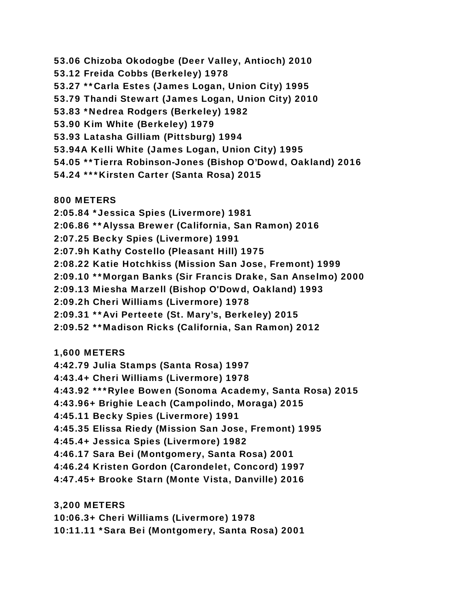- 53.06 Chizoba Okodogbe (Deer Valley, Antioch) 2010
- 53.12 Freida Cobbs (Berkeley) 1978
- 53.27 \*\*Carla Estes (James Logan, Union City) 1995
- 53.79 Thandi Stewart (James Logan, Union City) 2010
- 53.83 \*Nedrea Rodgers (Berkeley) 1982
- 53.90 Kim White (Berkeley) 1979
- 53.93 Latasha Gilliam (Pittsburg) 1994
- 53.94A Kelli White (James Logan, Union City) 1995
- 54.05 \*\*Tierra Robinson-Jones (Bishop O'Dowd, Oakland) 2016
- 54.24 \*\*\*Kirsten Carter (Santa Rosa) 2015

800 METERS

- 2:05.84 \*Jessica Spies (Livermore) 1981
- 2:06.86 \*\*Alyssa Brewer (California, San Ramon) 2016
- 2:07.25 Becky Spies (Livermore) 1991
- 2:07.9h Kathy Costello (Pleasant Hill) 1975
- 2:08.22 Katie Hotchkiss (Mission San Jose, Fremont) 1999
- 2:09.10 \*\*Morgan Banks (Sir Francis Drake, San Anselmo) 2000
- 2:09.13 Miesha Marzell (Bishop O'Dowd, Oakland) 1993
- 2:09.2h Cheri Williams (Livermore) 1978
- 2:09.31 \*\*Avi Perteete (St. Mary's, Berkeley) 2015
- 2:09.52 \*\*Madison Ricks (California, San Ramon) 2012
- 1,600 METERS
- 4:42.79 Julia Stamps (Santa Rosa) 1997
- 4:43.4+ Cheri Williams (Livermore) 1978
- 4:43.92 \*\*\*Rylee Bowen (Sonoma Academy, Santa Rosa) 2015
- 4:43.96+ Brighie Leach (Campolindo, Moraga) 2015
- 4:45.11 Becky Spies (Livermore) 1991
- 4:45.35 Elissa Riedy (Mission San Jose, Fremont) 1995
- 4:45.4+ Jessica Spies (Livermore) 1982
- 4:46.17 Sara Bei (Montgomery, Santa Rosa) 2001
- 4:46.24 Kristen Gordon (Carondelet, Concord) 1997
- 4:47.45+ Brooke Starn (Monte Vista, Danville) 2016

3,200 METERS

- 10:06.3+ Cheri Williams (Livermore) 1978
- 10:11.11 \*Sara Bei (Montgomery, Santa Rosa) 2001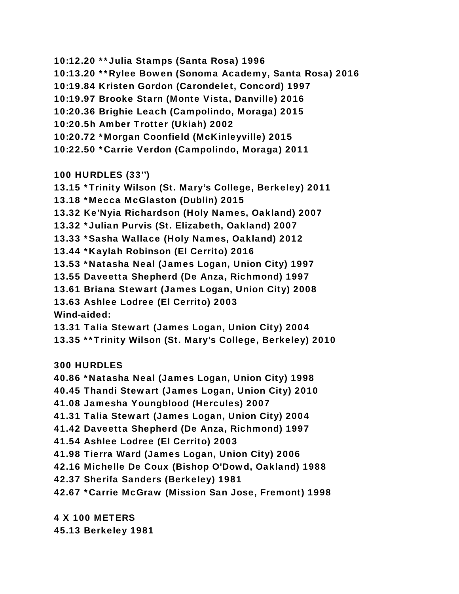- 10:12.20 \*\*Julia Stamps (Santa Rosa) 1996
- 10:13.20 \*\*Rylee Bowen (Sonoma Academy, Santa Rosa) 2016
- 10:19.84 Kristen Gordon (Carondelet, Concord) 1997
- 10:19.97 Brooke Starn (Monte Vista, Danville) 2016
- 10:20.36 Brighie Leach (Campolindo, Moraga) 2015
- 10:20.5h Amber Trotter (Ukiah) 2002
- 10:20.72 \*Morgan Coonfield (McKinleyville) 2015
- 10:22.50 \*Carrie Verdon (Campolindo, Moraga) 2011

100 HURDLES (33'')

- 13.15 \*Trinity Wilson (St. Mary's College, Berkeley) 2011
- 13.18 \*Mecca McGlaston (Dublin) 2015
- 13.32 Ke'Nyia Richardson (Holy Names, Oakland) 2007
- 13.32 \*Julian Purvis (St. Elizabeth, Oakland) 2007
- 13.33 \*Sasha Wallace (Holy Names, Oakland) 2012
- 13.44 \*Kaylah Robinson (El Cerrito) 2016
- 13.53 \*Natasha Neal (James Logan, Union City) 1997
- 13.55 Daveetta Shepherd (De Anza, Richmond) 1997
- 13.61 Briana Stewart (James Logan, Union City) 2008
- 13.63 Ashlee Lodree (El Cerrito) 2003

Wind-aided:

- 13.31 Talia Stewart (James Logan, Union City) 2004
- 13.35 \*\*Trinity Wilson (St. Mary's College, Berkeley) 2010

300 HURDLES

- 40.86 \*Natasha Neal (James Logan, Union City) 1998
- 40.45 Thandi Stewart (James Logan, Union City) 2010
- 41.08 Jamesha Youngblood (Hercules) 2007
- 41.31 Talia Stewart (James Logan, Union City) 2004
- 41.42 Daveetta Shepherd (De Anza, Richmond) 1997
- 41.54 Ashlee Lodree (El Cerrito) 2003
- 41.98 Tierra Ward (James Logan, Union City) 2006
- 42.16 Michelle De Coux (Bishop O'Dowd, Oakland) 1988
- 42.37 Sherifa Sanders (Berkeley) 1981
- 42.67 \*Carrie McGraw (Mission San Jose, Fremont) 1998

4 X 100 METERS 45.13 Berkeley 1981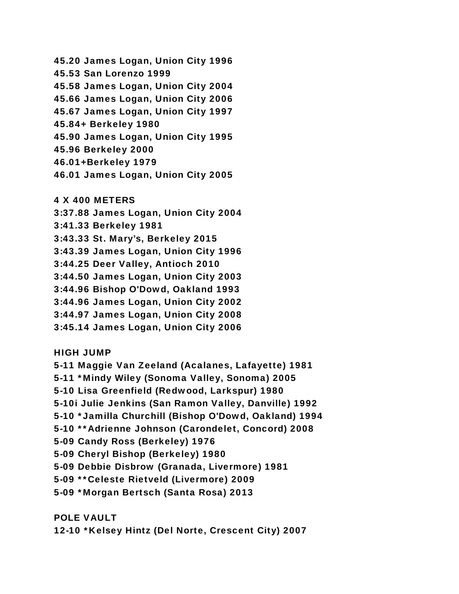45.20 James Logan, Union City 1996 45.53 San Lorenzo 1999 45.58 James Logan, Union City 2004 45.66 James Logan, Union City 2006 45.67 James Logan, Union City 1997 45.84+ Berkeley 1980 45.90 James Logan, Union City 1995 45.96 Berkeley 2000 46.01+Berkeley 1979 46.01 James Logan, Union City 2005

4 X 400 METERS

3:37.88 James Logan, Union City 2004

3:41.33 Berkeley 1981

3:43.33 St. Mary's, Berkeley 2015

3:43.39 James Logan, Union City 1996

3:44.25 Deer Valley, Antioch 2010

3:44.50 James Logan, Union City 2003

3:44.96 Bishop O'Dowd, Oakland 1993

3:44.96 James Logan, Union City 2002

3:44.97 James Logan, Union City 2008

3:45.14 James Logan, Union City 2006

HIGH JUMP

5-11 Maggie Van Zeeland (Acalanes, Lafayette) 1981 5-11 \*Mindy Wiley (Sonoma Valley, Sonoma) 2005 5-10 Lisa Greenfield (Redwood, Larkspur) 1980 5-10i Julie Jenkins (San Ramon Valley, Danville) 1992 5-10 \*Jamilla Churchill (Bishop O'Dowd, Oakland) 1994 5-10 \*\*Adrienne Johnson (Carondelet, Concord) 2008 5-09 Candy Ross (Berkeley) 1976 5-09 Cheryl Bishop (Berkeley) 1980 5-09 Debbie Disbrow (Granada, Livermore) 1981 5-09 \*\*Celeste Rietveld (Livermore) 2009 5-09 \*Morgan Bertsch (Santa Rosa) 2013

POLE VAULT

12-10 \*Kelsey Hintz (Del Norte, Crescent City) 2007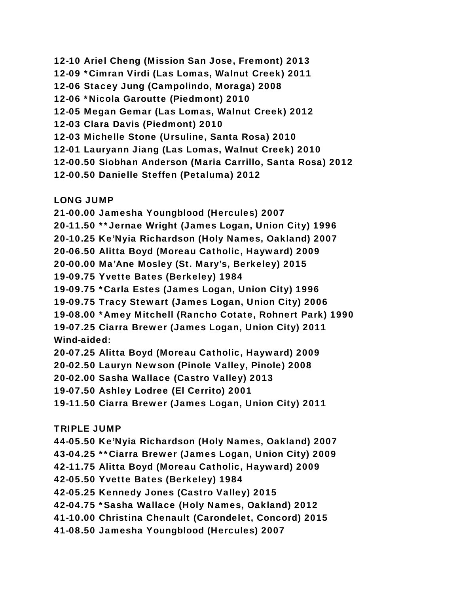12-10 Ariel Cheng (Mission San Jose, Fremont) 2013 12-09 \*Cimran Virdi (Las Lomas, Walnut Creek) 2011 12-06 Stacey Jung (Campolindo, Moraga) 2008 12-06 \*Nicola Garoutte (Piedmont) 2010 12-05 Megan Gemar (Las Lomas, Walnut Creek) 2012 12-03 Clara Davis (Piedmont) 2010 12-03 Michelle Stone (Ursuline, Santa Rosa) 2010 12-01 Lauryann Jiang (Las Lomas, Walnut Creek) 2010 12-00.50 Siobhan Anderson (Maria Carrillo, Santa Rosa) 2012 12-00.50 Danielle Steffen (Petaluma) 2012 LONG JUMP

21-00.00 Jamesha Youngblood (Hercules) 2007 20-11.50 \*\*Jernae Wright (James Logan, Union City) 1996 20-10.25 Ke'Nyia Richardson (Holy Names, Oakland) 2007 20-06.50 Alitta Boyd (Moreau Catholic, Hayward) 2009 20-00.00 Ma'Ane Mosley (St. Mary's, Berkeley) 2015 19-09.75 Yvette Bates (Berkeley) 1984 19-09.75 \*Carla Estes (James Logan, Union City) 1996 19-09.75 Tracy Stewart (James Logan, Union City) 2006 19-08.00 \*Amey Mitchell (Rancho Cotate, Rohnert Park) 1990 19-07.25 Ciarra Brewer (James Logan, Union City) 2011 Wind-aided:

20-07.25 Alitta Boyd (Moreau Catholic, Hayward) 2009

20-02.50 Lauryn Newson (Pinole Valley, Pinole) 2008

20-02.00 Sasha Wallace (Castro Valley) 2013

19-07.50 Ashley Lodree (El Cerrito) 2001

19-11.50 Ciarra Brewer (James Logan, Union City) 2011

## TRIPLE JUMP

44-05.50 Ke'Nyia Richardson (Holy Names, Oakland) 2007 43-04.25 \*\*Ciarra Brewer (James Logan, Union City) 2009

42-11.75 Alitta Boyd (Moreau Catholic, Hayward) 2009

42-05.50 Yvette Bates (Berkeley) 1984

42-05.25 Kennedy Jones (Castro Valley) 2015

42-04.75 \*Sasha Wallace (Holy Names, Oakland) 2012

41-10.00 Christina Chenault (Carondelet, Concord) 2015

41-08.50 Jamesha Youngblood (Hercules) 2007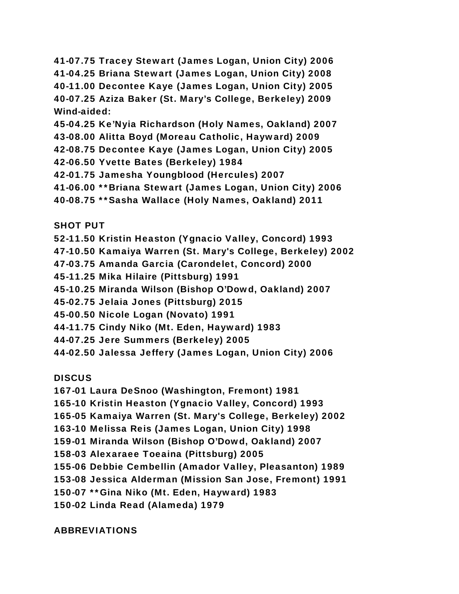41-07.75 Tracey Stewart (James Logan, Union City) 2006 41-04.25 Briana Stewart (James Logan, Union City) 2008 40-11.00 Decontee Kaye (James Logan, Union City) 2005 40-07.25 Aziza Baker (St. Mary's College, Berkeley) 2009 Wind-aided:

45-04.25 Ke'Nyia Richardson (Holy Names, Oakland) 2007

43-08.00 Alitta Boyd (Moreau Catholic, Hayward) 2009

42-08.75 Decontee Kaye (James Logan, Union City) 2005

42-06.50 Yvette Bates (Berkeley) 1984

42-01.75 Jamesha Youngblood (Hercules) 2007

41-06.00 \*\*Briana Stewart (James Logan, Union City) 2006

40-08.75 \*\*Sasha Wallace (Holy Names, Oakland) 2011

SHOT PUT

52-11.50 Kristin Heaston (Ygnacio Valley, Concord) 1993

47-10.50 Kamaiya Warren (St. Mary's College, Berkeley) 2002

47-03.75 Amanda Garcia (Carondelet, Concord) 2000

45-11.25 Mika Hilaire (Pittsburg) 1991

45-10.25 Miranda Wilson (Bishop O'Dowd, Oakland) 2007

45-02.75 Jelaia Jones (Pittsburg) 2015

45-00.50 Nicole Logan (Novato) 1991

44-11.75 Cindy Niko (Mt. Eden, Hayward) 1983

44-07.25 Jere Summers (Berkeley) 2005

44-02.50 Jalessa Jeffery (James Logan, Union City) 2006

**DISCUS** 

167-01 Laura DeSnoo (Washington, Fremont) 1981

165-10 Kristin Heaston (Ygnacio Valley, Concord) 1993

165-05 Kamaiya Warren (St. Mary's College, Berkeley) 2002

163-10 Melissa Reis (James Logan, Union City) 1998

159-01 Miranda Wilson (Bishop O'Dowd, Oakland) 2007

158-03 Alexaraee Toeaina (Pittsburg) 2005

155-06 Debbie Cembellin (Amador Valley, Pleasanton) 1989

153-08 Jessica Alderman (Mission San Jose, Fremont) 1991

150-07 \*\*Gina Niko (Mt. Eden, Hayward) 1983

150-02 Linda Read (Alameda) 1979

ABBREVIATIONS